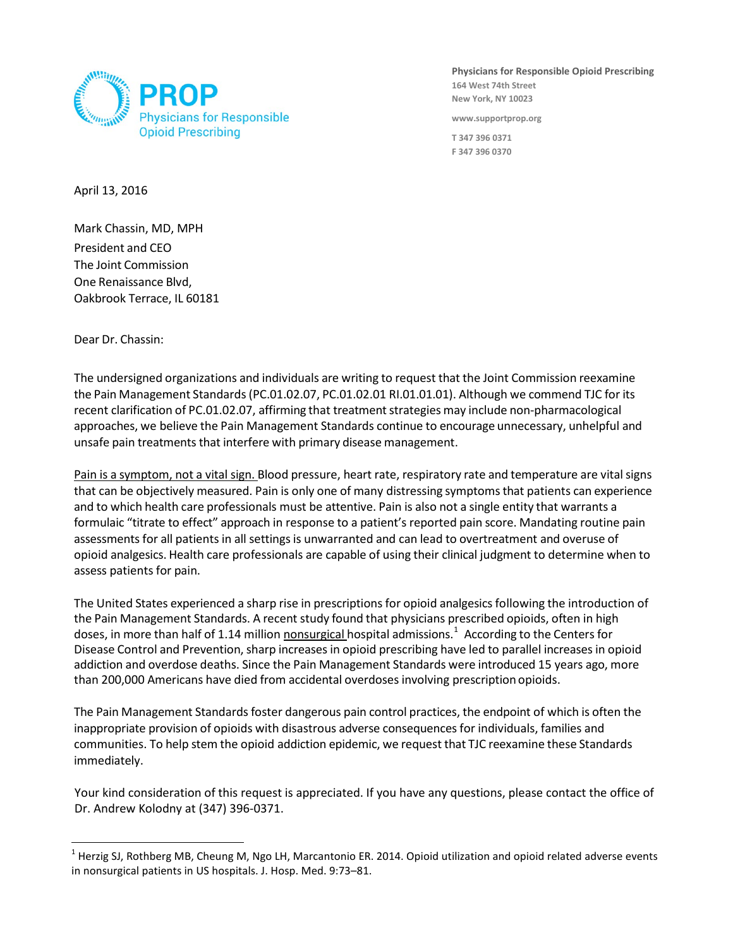

**Physicians for Responsible Opioid Prescribing 164 West 74th Street New York, NY 10023**

**www.supportprop.org**

**T 347 396 0371 F 347 396 0370**

April 13, 2016

Mark Chassin, MD, MPH President and CEO The Joint Commission One Renaissance Blvd, Oakbrook Terrace, IL 60181

Dear Dr. Chassin:

 $\overline{a}$ 

The undersigned organizations and individuals are writing to request that the Joint Commission reexamine the Pain Management Standards(PC.01.02.07, PC.01.02.01 RI.01.01.01). Although we commend TJC for its recent clarification of PC.01.02.07, affirming that treatment strategies may include non-pharmacological approaches, we believe the Pain Management Standards continue to encourage unnecessary, unhelpful and unsafe pain treatments that interfere with primary disease management.

Pain is a symptom, not a vital sign. Blood pressure, heart rate, respiratory rate and temperature are vitalsigns that can be objectively measured. Pain is only one of many distressing symptomsthat patients can experience and to which health care professionals must be attentive. Pain is also not a single entity that warrants a formulaic "titrate to effect" approach in response to a patient's reported pain score. Mandating routine pain assessments for all patients in all settings is unwarranted and can lead to overtreatment and overuse of opioid analgesics. Health care professionals are capable of using their clinical judgment to determine when to assess patients for pain.

The United States experienced a sharp rise in prescriptions for opioid analgesicsfollowing the introduction of the Pain Management Standards. A recent study found that physicians prescribed opioids, often in high doses, in more than half of 1.14 million nonsurgical hospital admissions. [1](#page-0-0) According to the Centers for Disease Control and Prevention,sharp increases in opioid prescribing have led to parallel increases in opioid addiction and overdose deaths. Since the Pain Management Standards were introduced 15 years ago, more than 200,000 Americans have died from accidental overdoses involving prescription opioids.

The Pain Management Standards foster dangerous pain control practices, the endpoint of which is often the inappropriate provision of opioids with disastrous adverse consequences for individuals, families and communities. To help stem the opioid addiction epidemic, we request that TJC reexamine these Standards immediately.

Your kind consideration of this request is appreciated. If you have any questions, please contact the office of Dr. Andrew Kolodny at (347) 396-0371.

<span id="page-0-0"></span> $1$  Herzig SJ, Rothberg MB, Cheung M, Ngo LH, Marcantonio ER. 2014. Opioid utilization and opioid related adverse events in nonsurgical patients in US hospitals. J. Hosp. Med. 9:73–81.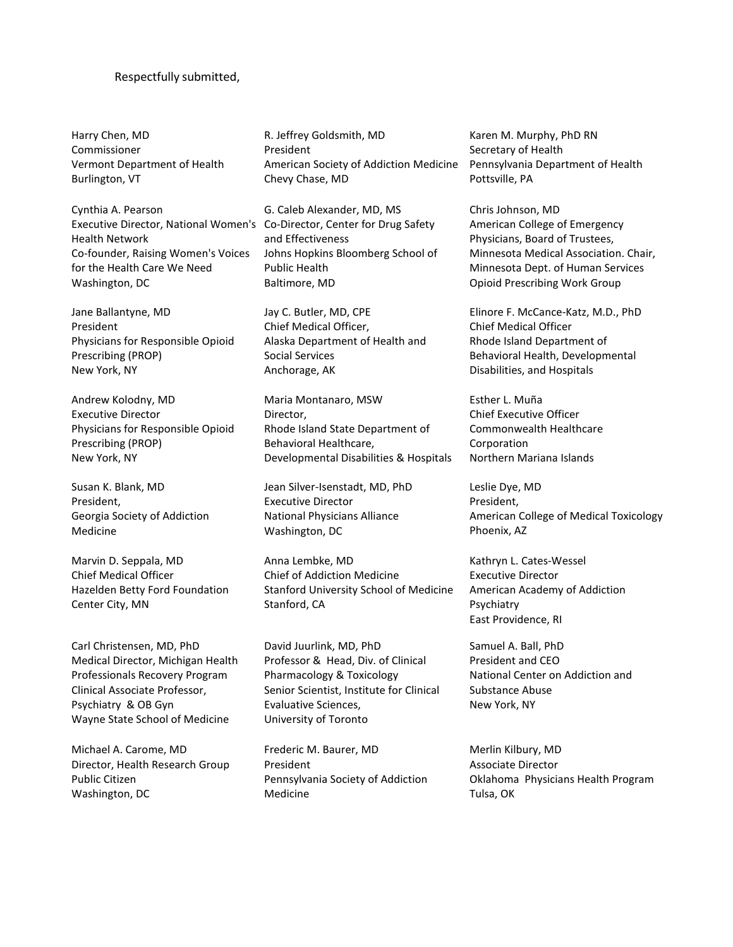## Respectfully submitted,

Harry Chen, MD Commissioner Vermont Department of Health Burlington, VT

Cynthia A. Pearson Executive Director, National Women's Co-Director, Center for Drug Safety Health Network Co-founder, Raising Women's Voices for the Health Care We Need Washington, DC

Jane Ballantyne, MD President Physicians for Responsible Opioid Prescribing (PROP) New York, NY

Andrew Kolodny, MD Executive Director Physicians for Responsible Opioid Prescribing (PROP) New York, NY

Susan K. Blank, MD President, Georgia Society of Addiction Medicine

Marvin D. Seppala, MD Chief Medical Officer Hazelden Betty Ford Foundation Center City, MN

Carl Christensen, MD, PhD Medical Director, Michigan Health Professionals Recovery Program Clinical Associate Professor, Psychiatry & OB Gyn Wayne State School of Medicine

Michael A. Carome, MD Director, Health Research Group Public Citizen Washington, DC

R. Jeffrey Goldsmith, MD President American Society of Addiction Medicine Chevy Chase, MD

G. Caleb Alexander, MD, MS and Effectiveness Johns Hopkins Bloomberg School of Public Health Baltimore, MD

Jay C. Butler, MD, CPE Chief Medical Officer, Alaska Department of Health and Social Services Anchorage, AK

Maria Montanaro, MSW Director, Rhode Island State Department of Behavioral Healthcare, Developmental Disabilities & Hospitals

Jean Silver-Isenstadt, MD, PhD Executive Director National Physicians Alliance Washington, DC

Anna Lembke, MD Chief of Addiction Medicine Stanford University School of Medicine Stanford, CA

David Juurlink, MD, PhD Professor & Head, Div. of Clinical Pharmacology & Toxicology Senior Scientist, Institute for Clinical Evaluative Sciences, University of Toronto

Frederic M. Baurer, MD President Pennsylvania Society of Addiction Medicine

Karen M. Murphy, PhD RN Secretary of Health Pennsylvania Department of Health Pottsville, PA

Chris Johnson, MD American College of Emergency Physicians, Board of Trustees, Minnesota Medical Association. Chair, Minnesota Dept. of Human Services Opioid Prescribing Work Group

Elinore F. McCance-Katz, M.D., PhD Chief Medical Officer Rhode Island Department of Behavioral Health, Developmental Disabilities, and Hospitals

Esther L. Muña Chief Executive Officer Commonwealth Healthcare Corporation Northern Mariana Islands

Leslie Dye, MD President, American College of Medical Toxicology Phoenix, AZ

Kathryn L. Cates-Wessel Executive Director American Academy of Addiction Psychiatry East Providence, RI

Samuel A. Ball, PhD President and CEO National Center on Addiction and Substance Abuse New York, NY

Merlin Kilbury, MD Associate Director Oklahoma Physicians Health Program Tulsa, OK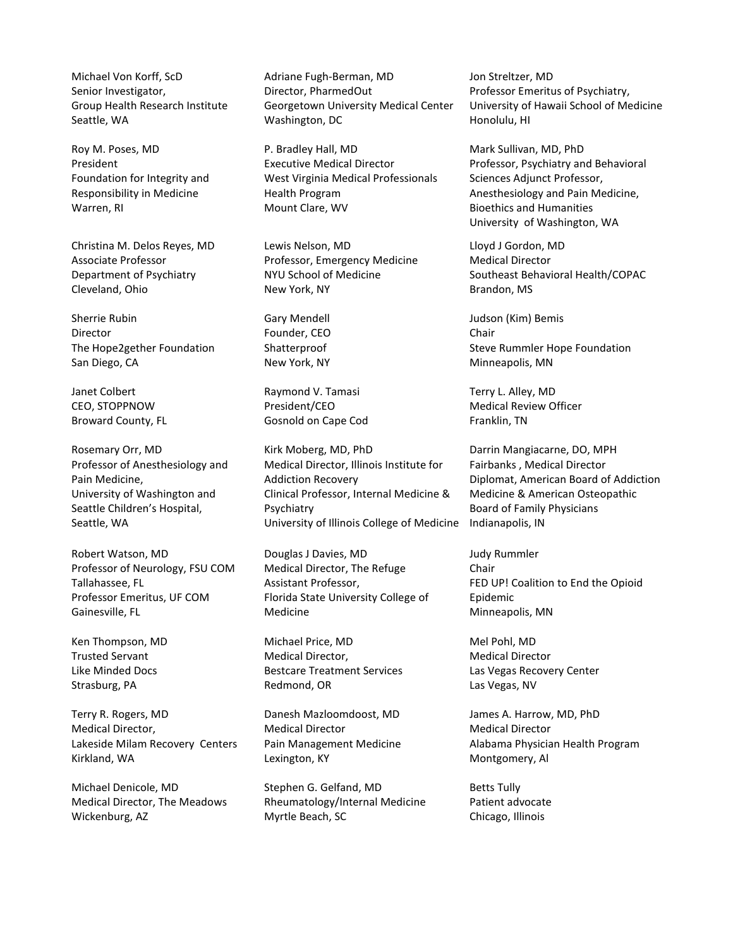Michael Von Korff, ScD Senior Investigator, Group Health Research Institute Seattle, WA

Roy M. Poses, MD President Foundation for Integrity and Responsibility in Medicine Warren, RI

Christina M. Delos Reyes, MD Associate Professor Department of Psychiatry Cleveland, Ohio

Sherrie Rubin Director The Hope2gether Foundation San Diego, CA

Janet Colbert CEO, STOPPNOW Broward County, FL

Rosemary Orr, MD Professor of Anesthesiology and Pain Medicine, University of Washington and Seattle Children's Hospital, Seattle, WA

Robert Watson, MD Professor of Neurology, FSU COM Tallahassee, FL Professor Emeritus, UF COM Gainesville, FL

Ken Thompson, MD Trusted Servant Like Minded Docs Strasburg, PA

Terry R. Rogers, MD Medical Director, Lakeside Milam Recovery Centers Kirkland, WA

Michael Denicole, MD Medical Director, The Meadows Wickenburg, AZ

Adriane Fugh-Berman, MD Director, PharmedOut Georgetown University Medical Center Washington, DC

P. Bradley Hall, MD Executive Medical Director West Virginia Medical Professionals Health Program Mount Clare, WV

Lewis Nelson, MD Professor, Emergency Medicine NYU School of Medicine New York, NY

Gary Mendell Founder, CEO Shatterproof New York, NY

Raymond V. Tamasi President/CEO Gosnold on Cape Cod

Kirk Moberg, MD, PhD Medical Director, Illinois Institute for Addiction Recovery Clinical Professor, Internal Medicine & Psychiatry University of Illinois College of Medicine

Douglas J Davies, MD Medical Director, The Refuge Assistant Professor, Florida State University College of Medicine

Michael Price, MD Medical Director, Bestcare Treatment Services Redmond, OR

Danesh Mazloomdoost, MD Medical Director Pain Management Medicine Lexington, KY

Stephen G. Gelfand, MD Rheumatology/Internal Medicine Myrtle Beach, SC

Jon Streltzer, MD Professor Emeritus of Psychiatry, University of Hawaii School of Medicine Honolulu, HI

Mark Sullivan, MD, PhD Professor, Psychiatry and Behavioral Sciences Adjunct Professor, Anesthesiology and Pain Medicine, Bioethics and Humanities University of Washington, WA

Lloyd J Gordon, MD Medical Director Southeast Behavioral Health/COPAC Brandon, MS

Judson (Kim) Bemis Chair Steve Rummler Hope Foundation Minneapolis, MN

Terry L. Alley, MD Medical Review Officer Franklin, TN

Darrin Mangiacarne, DO, MPH Fairbanks , Medical Director Diplomat, American Board of Addiction Medicine & American Osteopathic Board of Family Physicians Indianapolis, IN

Judy Rummler Chair FED UP! Coalition to End the Opioid Epidemic Minneapolis, MN

Mel Pohl, MD Medical Director Las Vegas Recovery Center Las Vegas, NV

James A. Harrow, MD, PhD Medical Director Alabama Physician Health Program Montgomery, Al

Betts Tully Patient advocate Chicago, Illinois